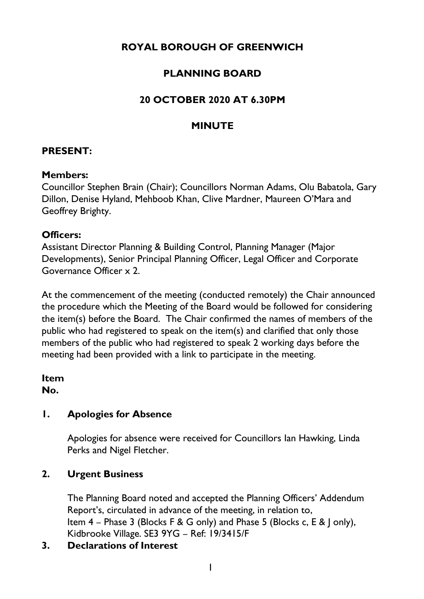# **ROYAL BOROUGH OF GREENWICH**

## **PLANNING BOARD**

### **20 OCTOBER 2020 AT 6.30PM**

### **MINUTE**

#### **PRESENT:**

#### **Members:**

Councillor Stephen Brain (Chair); Councillors Norman Adams, Olu Babatola, Gary Dillon, Denise Hyland, Mehboob Khan, Clive Mardner, Maureen O'Mara and Geoffrey Brighty.

#### **Officers:**

Assistant Director Planning & Building Control, Planning Manager (Major Developments), Senior Principal Planning Officer, Legal Officer and Corporate Governance Officer x 2.

At the commencement of the meeting (conducted remotely) the Chair announced the procedure which the Meeting of the Board would be followed for considering the item(s) before the Board. The Chair confirmed the names of members of the public who had registered to speak on the item(s) and clarified that only those members of the public who had registered to speak 2 working days before the meeting had been provided with a link to participate in the meeting.

**Item No.** 

#### **1. Apologies for Absence**

Apologies for absence were received for Councillors Ian Hawking, Linda Perks and Nigel Fletcher.

#### **2. Urgent Business**

The Planning Board noted and accepted the Planning Officers' Addendum Report's, circulated in advance of the meeting, in relation to, Item 4 – Phase 3 (Blocks F & G only) and Phase 5 (Blocks c, E & J only), Kidbrooke Village. SE3 9YG – Ref: 19/3415/F

#### **3. Declarations of Interest**

1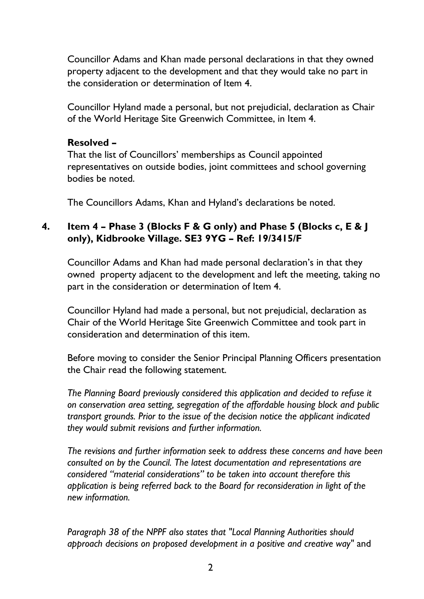Councillor Adams and Khan made personal declarations in that they owned property adjacent to the development and that they would take no part in the consideration or determination of Item 4.

Councillor Hyland made a personal, but not prejudicial, declaration as Chair of the World Heritage Site Greenwich Committee, in Item 4.

#### **Resolved –**

That the list of Councillors' memberships as Council appointed representatives on outside bodies, joint committees and school governing bodies be noted.

The Councillors Adams, Khan and Hyland's declarations be noted.

### **4. Item 4 – Phase 3 (Blocks F & G only) and Phase 5 (Blocks c, E & J only), Kidbrooke Village. SE3 9YG – Ref: 19/3415/F**

Councillor Adams and Khan had made personal declaration's in that they owned property adjacent to the development and left the meeting, taking no part in the consideration or determination of Item 4.

Councillor Hyland had made a personal, but not prejudicial, declaration as Chair of the World Heritage Site Greenwich Committee and took part in consideration and determination of this item.

Before moving to consider the Senior Principal Planning Officers presentation the Chair read the following statement.

*The Planning Board previously considered this application and decided to refuse it on conservation area setting, segregation of the affordable housing block and public transport grounds. Prior to the issue of the decision notice the applicant indicated they would submit revisions and further information.* 

*The revisions and further information seek to address these concerns and have been consulted on by the Council. The latest documentation and representations are considered "material considerations" to be taken into account therefore this application is being referred back to the Board for reconsideration in light of the new information.* 

*Paragraph 38 of the NPPF also states that "Local Planning Authorities should approach decisions on proposed development in a positive and creative way"* and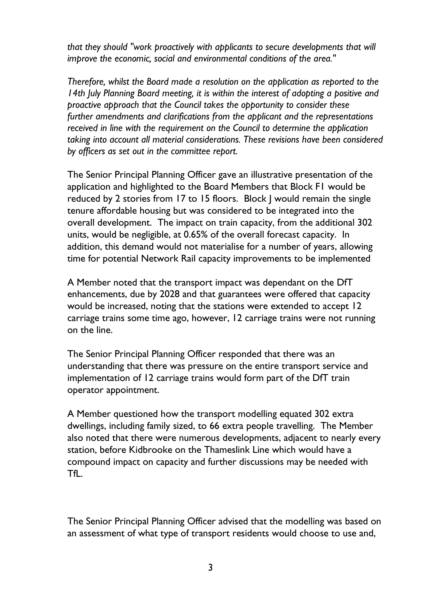*that they should "work proactively with applicants to secure developments that will improve the economic, social and environmental conditions of the area."* 

*Therefore, whilst the Board made a resolution on the application as reported to the 14th July Planning Board meeting, it is within the interest of adopting a positive and proactive approach that the Council takes the opportunity to consider these further amendments and clarifications from the applicant and the representations received in line with the requirement on the Council to determine the application taking into account all material considerations. These revisions have been considered by officers as set out in the committee report.* 

The Senior Principal Planning Officer gave an illustrative presentation of the application and highlighted to the Board Members that Block F1 would be reduced by 2 stories from 17 to 15 floors. Block J would remain the single tenure affordable housing but was considered to be integrated into the overall development. The impact on train capacity, from the additional 302 units, would be negligible, at 0.65% of the overall forecast capacity. In addition, this demand would not materialise for a number of years, allowing time for potential Network Rail capacity improvements to be implemented

A Member noted that the transport impact was dependant on the DfT enhancements, due by 2028 and that guarantees were offered that capacity would be increased, noting that the stations were extended to accept 12 carriage trains some time ago, however, 12 carriage trains were not running on the line.

The Senior Principal Planning Officer responded that there was an understanding that there was pressure on the entire transport service and implementation of 12 carriage trains would form part of the DfT train operator appointment.

A Member questioned how the transport modelling equated 302 extra dwellings, including family sized, to 66 extra people travelling. The Member also noted that there were numerous developments, adjacent to nearly every station, before Kidbrooke on the Thameslink Line which would have a compound impact on capacity and further discussions may be needed with TfL.

The Senior Principal Planning Officer advised that the modelling was based on an assessment of what type of transport residents would choose to use and,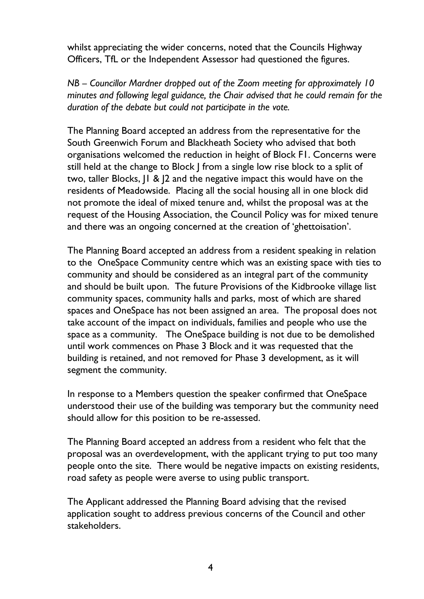whilst appreciating the wider concerns, noted that the Councils Highway Officers, TfL or the Independent Assessor had questioned the figures.

*NB – Councillor Mardner dropped out of the Zoom meeting for approximately 10 minutes and following legal guidance, the Chair advised that he could remain for the duration of the debate but could not participate in the vote.* 

The Planning Board accepted an address from the representative for the South Greenwich Forum and Blackheath Society who advised that both organisations welcomed the reduction in height of Block F1. Concerns were still held at the change to Block J from a single low rise block to a split of two, taller Blocks, J1 & J2 and the negative impact this would have on the residents of Meadowside. Placing all the social housing all in one block did not promote the ideal of mixed tenure and, whilst the proposal was at the request of the Housing Association, the Council Policy was for mixed tenure and there was an ongoing concerned at the creation of 'ghettoisation'.

The Planning Board accepted an address from a resident speaking in relation to the OneSpace Community centre which was an existing space with ties to community and should be considered as an integral part of the community and should be built upon. The future Provisions of the Kidbrooke village list community spaces, community halls and parks, most of which are shared spaces and OneSpace has not been assigned an area. The proposal does not take account of the impact on individuals, families and people who use the space as a community. The OneSpace building is not due to be demolished until work commences on Phase 3 Block and it was requested that the building is retained, and not removed for Phase 3 development, as it will segment the community.

In response to a Members question the speaker confirmed that OneSpace understood their use of the building was temporary but the community need should allow for this position to be re-assessed.

The Planning Board accepted an address from a resident who felt that the proposal was an overdevelopment, with the applicant trying to put too many people onto the site. There would be negative impacts on existing residents, road safety as people were averse to using public transport.

The Applicant addressed the Planning Board advising that the revised application sought to address previous concerns of the Council and other stakeholders.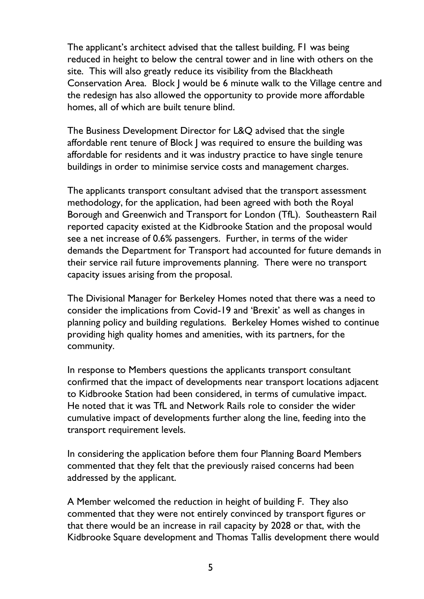The applicant's architect advised that the tallest building, F1 was being reduced in height to below the central tower and in line with others on the site. This will also greatly reduce its visibility from the Blackheath Conservation Area. Block J would be 6 minute walk to the Village centre and the redesign has also allowed the opportunity to provide more affordable homes, all of which are built tenure blind.

The Business Development Director for L&Q advised that the single affordable rent tenure of Block J was required to ensure the building was affordable for residents and it was industry practice to have single tenure buildings in order to minimise service costs and management charges.

The applicants transport consultant advised that the transport assessment methodology, for the application, had been agreed with both the Royal Borough and Greenwich and Transport for London (TfL). Southeastern Rail reported capacity existed at the Kidbrooke Station and the proposal would see a net increase of 0.6% passengers. Further, in terms of the wider demands the Department for Transport had accounted for future demands in their service rail future improvements planning. There were no transport capacity issues arising from the proposal.

The Divisional Manager for Berkeley Homes noted that there was a need to consider the implications from Covid-19 and 'Brexit' as well as changes in planning policy and building regulations. Berkeley Homes wished to continue providing high quality homes and amenities, with its partners, for the community.

In response to Members questions the applicants transport consultant confirmed that the impact of developments near transport locations adjacent to Kidbrooke Station had been considered, in terms of cumulative impact. He noted that it was TfL and Network Rails role to consider the wider cumulative impact of developments further along the line, feeding into the transport requirement levels.

In considering the application before them four Planning Board Members commented that they felt that the previously raised concerns had been addressed by the applicant.

A Member welcomed the reduction in height of building F. They also commented that they were not entirely convinced by transport figures or that there would be an increase in rail capacity by 2028 or that, with the Kidbrooke Square development and Thomas Tallis development there would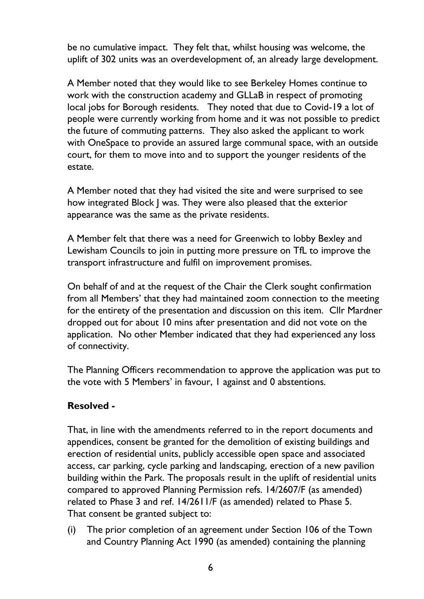be no cumulative impact. They felt that, whilst housing was welcome, the uplift of 302 units was an overdevelopment of, an already large development.

A Member noted that they would like to see Berkeley Homes continue to work with the construction academy and GLLaB in respect of promoting local jobs for Borough residents. They noted that due to Covid-19 a lot of people were currently working from home and it was not possible to predict the future of commuting patterns. They also asked the applicant to work with OneSpace to provide an assured large communal space, with an outside court, for them to move into and to support the younger residents of the estate.

A Member noted that they had visited the site and were surprised to see how integrated Block J was. They were also pleased that the exterior appearance was the same as the private residents.

A Member felt that there was a need for Greenwich to lobby Bexley and Lewisham Councils to join in putting more pressure on TfL to improve the transport infrastructure and fulfil on improvement promises.

On behalf of and at the request of the Chair the Clerk sought confirmation from all Members' that they had maintained zoom connection to the meeting for the entirety of the presentation and discussion on this item. Cllr Mardner dropped out for about 10 mins after presentation and did not vote on the application. No other Member indicated that they had experienced any loss of connectivity.

The Planning Officers recommendation to approve the application was put to the vote with 5 Members' in favour, 1 against and 0 abstentions.

#### **Resolved -**

That, in line with the amendments referred to in the report documents and appendices, consent be granted for the demolition of existing buildings and erection of residential units, publicly accessible open space and associated access, car parking, cycle parking and landscaping, erection of a new pavilion building within the Park. The proposals result in the uplift of residential units compared to approved Planning Permission refs. 14/2607/F (as amended) related to Phase 3 and ref. 14/2611/F (as amended) related to Phase 5. That consent be granted subject to:

(i) The prior completion of an agreement under Section 106 of the Town and Country Planning Act 1990 (as amended) containing the planning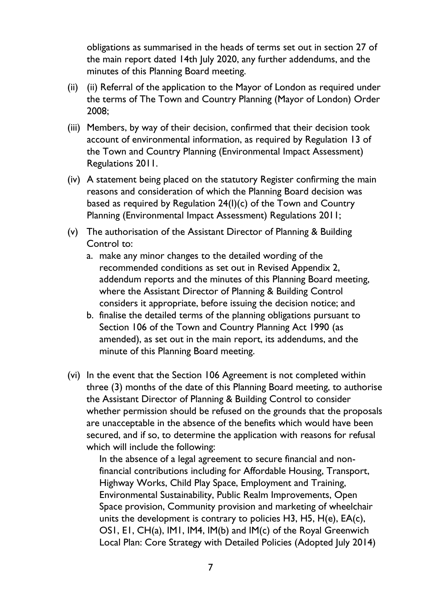obligations as summarised in the heads of terms set out in section 27 of the main report dated 14th July 2020, any further addendums, and the minutes of this Planning Board meeting.

- (ii) (ii) Referral of the application to the Mayor of London as required under the terms of The Town and Country Planning (Mayor of London) Order 2008;
- (iii) Members, by way of their decision, confirmed that their decision took account of environmental information, as required by Regulation 13 of the Town and Country Planning (Environmental Impact Assessment) Regulations 2011.
- (iv) A statement being placed on the statutory Register confirming the main reasons and consideration of which the Planning Board decision was based as required by Regulation 24(I)(c) of the Town and Country Planning (Environmental Impact Assessment) Regulations 2011;
- (v) The authorisation of the Assistant Director of Planning & Building Control to:
	- a. make any minor changes to the detailed wording of the recommended conditions as set out in Revised Appendix 2, addendum reports and the minutes of this Planning Board meeting, where the Assistant Director of Planning & Building Control considers it appropriate, before issuing the decision notice; and
	- b. finalise the detailed terms of the planning obligations pursuant to Section 106 of the Town and Country Planning Act 1990 (as amended), as set out in the main report, its addendums, and the minute of this Planning Board meeting.
- (vi) In the event that the Section 106 Agreement is not completed within three (3) months of the date of this Planning Board meeting, to authorise the Assistant Director of Planning & Building Control to consider whether permission should be refused on the grounds that the proposals are unacceptable in the absence of the benefits which would have been secured, and if so, to determine the application with reasons for refusal which will include the following:

In the absence of a legal agreement to secure financial and nonfinancial contributions including for Affordable Housing, Transport, Highway Works, Child Play Space, Employment and Training, Environmental Sustainability, Public Realm Improvements, Open Space provision, Community provision and marketing of wheelchair units the development is contrary to policies H3, H5,  $H(e)$ , EA $(c)$ , OS1, E1, CH(a), IM1, IM4, IM(b) and IM(c) of the Royal Greenwich Local Plan: Core Strategy with Detailed Policies (Adopted July 2014)